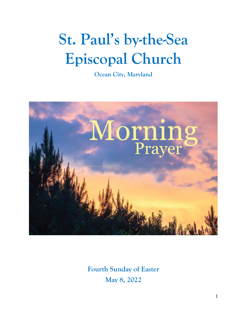# **St. Paul's by-the-Sea Episcopal Church**

**Ocean City, Maryland**



**Fourth Sunday of Easter May 8, 2022**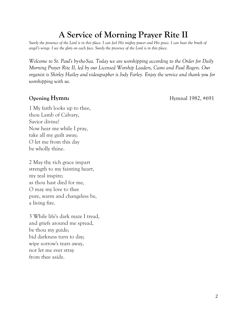## **A Service of Morning Prayer Rite II**

*Surely the presence of the Lord is in this place. I can feel His mighty power and His grace. I can hear the brush of angel's wings. I see the glory on each face. Surely the presence of the Lord is in this place.* 

*Welcome to St. Paul's by-the-Sea. Today we are worshipping according to the Order for Daily Morning Prayer Rite II, led by our Licensed Worship Leaders, Cami and Paul Rogers. Our organist is Shirley Hailey and videographer is Jody Farley. Enjoy the service and thank you for worshipping with us.*

**Opening Hymn: Hymnal 1982, #691** 

1 My faith looks up to thee, thou Lamb of Calvary, Savior divine! Now hear me while I pray, take all my guilt away; O let me from this day be wholly thine.

2 May thy rich grace impart strength to my fainting heart, my zeal inspire; as thou hast died for me, O may my love to thee pure, warm and changeless be, a living fire.

3 While life's dark maze I tread, and griefs around me spread, be thou my guide; bid darkness turn to day; wipe sorrow's tears away, nor let me ever stray from thee aside.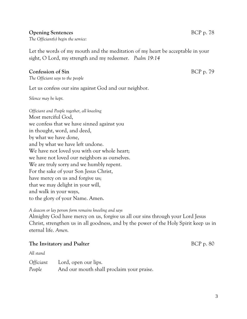#### **Opening Sentences** BCP p. 78

*The Officiant(s) begin the service:*

Let the words of my mouth and the meditation of my heart be acceptable in your sight, O Lord, my strength and my redeemer. *Psalm 19:14*

#### **Confession of Sin** BCP p. 79

*The Officiant says to the people*

Let us confess our sins against God and our neighbor.

*Silence may be kept.*

*Officiant and People together, all kneeling* Most merciful God, we confess that we have sinned against you in thought, word, and deed, by what we have done, and by what we have left undone. We have not loved you with our whole heart; we have not loved our neighbors as ourselves. We are truly sorry and we humbly repent. For the sake of your Son Jesus Christ, have mercy on us and forgive us; that we may delight in your will, and walk in your ways, to the glory of your Name. Amen.

*A deacon or lay person form remains kneeling and says* Almighty God have mercy on us, forgive us all our sins through your Lord Jesus Christ, strengthen us in all goodness, and by the power of the Holy Spirit keep us in eternal life. *Amen.*

#### **The Invitatory and Psalter** BCP p. 80

*All stand*

| <i>Officiant</i> | Lord, open our lips.                      |
|------------------|-------------------------------------------|
| People           | And our mouth shall proclaim your praise. |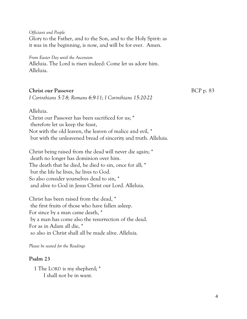*Officiant and People* Glory to the Father, and to the Son, and to the Holy Spirit: as it was in the beginning, is now, and will be for ever. Amen.

*From Easter Day until the Ascension* Alleluia. The Lord is risen indeed: Come let us adore him. Alleluia.

#### **Christ our Passover** BCP p. 83

*I Corinthians 5:7-8; Romans 6:9-11; I Corinthians 15:20-22* 

Alleluia.

Christ our Passover has been sacrificed for us; \* therefore let us keep the feast, Not with the old leaven, the leaven of malice and evil, \* but with the unleavened bread of sincerity and truth. Alleluia.

Christ being raised from the dead will never die again; \* death no longer has dominion over him. The death that he died, he died to sin, once for all; \* but the life he lives, he lives to God. So also consider yourselves dead to sin, \* and alive to God in Jesus Christ our Lord. Alleluia.

Christ has been raised from the dead, \* the first fruits of those who have fallen asleep. For since by a man came death, \* by a man has come also the resurrection of the dead. For as in Adam all die, \* so also in Christ shall all be made alive. Alleluia.

*Please be seated for the Readings*

#### **Psalm 23**

1 The LORD is my shepherd; \* I shall not be in want.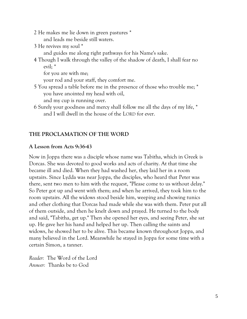- 2 He makes me lie down in green pastures \* and leads me beside still waters.
- 3 He revives my soul \*

and guides me along right pathways for his Name's sake.

4 Though I walk through the valley of the shadow of death, I shall fear no evil; \*

for you are with me;

your rod and your staff, they comfort me.

5 You spread a table before me in the presence of those who trouble me; \* you have anointed my head with oil,

and my cup is running over.

6 Surely your goodness and mercy shall follow me all the days of my life, \* and I will dwell in the house of the LORD for ever.

### **THE PROCLAMATION OF THE WORD**

### **A Lesson from Acts 9:36-43**

Now in Joppa there was a disciple whose name was Tabitha, which in Greek is Dorcas. She was devoted to good works and acts of charity. At that time she became ill and died. When they had washed her, they laid her in a room upstairs. Since Lydda was near Joppa, the disciples, who heard that Peter was there, sent two men to him with the request, "Please come to us without delay." So Peter got up and went with them; and when he arrived, they took him to the room upstairs. All the widows stood beside him, weeping and showing tunics and other clothing that Dorcas had made while she was with them. Peter put all of them outside, and then he knelt down and prayed. He turned to the body and said, "Tabitha, get up." Then she opened her eyes, and seeing Peter, she sat up. He gave her his hand and helped her up. Then calling the saints and widows, he showed her to be alive. This became known throughout Joppa, and many believed in the Lord. Meanwhile he stayed in Joppa for some time with a certain Simon, a tanner.

*Reader:* The Word of the Lord *Answer:* Thanks be to God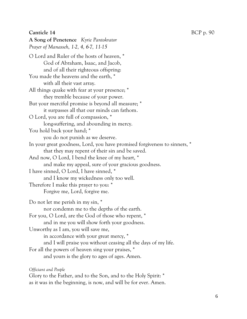#### **Canticle 14** BCP p. 90

**A Song of Penetence** *Kyrie Pantokrator Prayer of Manasseh, 1-2, 4, 6-7, 11-15* O Lord and Ruler of the hosts of heaven, \* God of Abraham, Isaac, and Jacob, and of all their righteous offspring: You made the heavens and the earth, \* with all their vast array. All things quake with fear at your presence; \* they tremble because of your power. But your merciful promise is beyond all measure; \* it surpasses all that our minds can fathom. O Lord, you are full of compassion, \* long-suffering, and abounding in mercy. You hold back your hand; \* you do not punish as we deserve. In your great goodness, Lord, you have promised forgiveness to sinners, \* that they may repent of their sin and be saved. And now, O Lord, I bend the knee of my heart, \* and make my appeal, sure of your gracious goodness. I have sinned, O Lord, I have sinned, \* and I know my wickedness only too well. Therefore I make this prayer to you: \* Forgive me, Lord, forgive me. Do not let me perish in my sin, \* nor condemn me to the depths of the earth. For you, O Lord, are the God of those who repent, \* and in me you will show forth your goodness. Unworthy as I am, you will save me, in accordance with your great mercy, \* and I will praise you without ceasing all the days of my life. For all the powers of heaven sing your praises, \* and yours is the glory to ages of ages. Amen.

*Officiant and People*

Glory to the Father, and to the Son, and to the Holy Spirit: \* as it was in the beginning, is now, and will be for ever. Amen.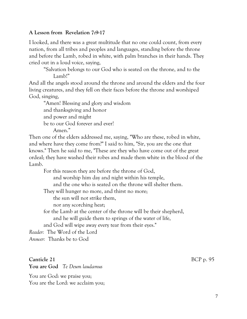#### **A Lesson from Revelation 7:9-17**

I looked, and there was a great multitude that no one could count, from every nation, from all tribes and peoples and languages, standing before the throne and before the Lamb, robed in white, with palm branches in their hands. They cried out in a loud voice, saying,

"Salvation belongs to our God who is seated on the throne, and to the Lamb!"

And all the angels stood around the throne and around the elders and the four living creatures, and they fell on their faces before the throne and worshiped God, singing,

"Amen! Blessing and glory and wisdom and thanksgiving and honor and power and might be to our God forever and ever! Amen."

Then one of the elders addressed me, saying, "Who are these, robed in white, and where have they come from?" I said to him, "Sir, you are the one that knows." Then he said to me, "These are they who have come out of the great ordeal; they have washed their robes and made them white in the blood of the Lamb.

For this reason they are before the throne of God, and worship him day and night within his temple,

and the one who is seated on the throne will shelter them.

They will hunger no more, and thirst no more;

the sun will not strike them,

nor any scorching heat;

for the Lamb at the center of the throne will be their shepherd, and he will guide them to springs of the water of life,

and God will wipe away every tear from their eyes."

*Reader:* The Word of the Lord

*Answer:* Thanks be to God

#### **Canticle 21** BCP p. 95

**You are God** *Te Deum laudamus*

You are God: we praise you; You are the Lord: we acclaim you;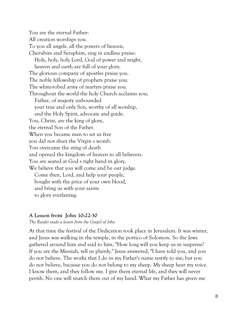You are the eternal Father: All creation worships you. To you all angels, all the powers of heaven, Cherubim and Seraphim, sing in endless praise: Holy, holy, holy Lord, God of power and might, heaven and earth are full of your glory. The glorious company of apostles praise you. The noble fellowship of prophets praise you. The white-robed army of martyrs praise you. Throughout the world the holy Church acclaims you; Father, of majesty unbounded your true and only Son, worthy of all worship, and the Holy Spirit, advocate and guide. You, Christ, are the king of glory, the eternal Son of the Father. When you became man to set us free you did not shun the Virgin s womb. You overcame the sting of death and opened the kingdom of heaven to all believers. You are seated at God s right hand in glory. We believe that you will come and be our judge. Come then, Lord, and help your people, bought with the price of your own blood, and bring us with your saints to glory everlasting.

#### **A Lesson from John 10:22-30**

*The Reader reads a lesson from the Gospel of John*

At that time the festival of the Dedication took place in Jerusalem. It was winter, and Jesus was walking in the temple, in the portico of Solomon. So the Jews gathered around him and said to him, "How long will you keep us in suspense? If you are the Messiah, tell us plainly." Jesus answered, "I have told you, and you do not believe. The works that I do in my Father's name testify to me; but you do not believe, because you do not belong to my sheep. My sheep hear my voice. I know them, and they follow me. I give them eternal life, and they will never perish. No one will snatch them out of my hand. What my Father has given me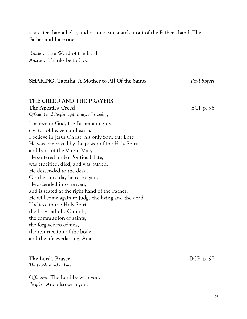is greater than all else, and no one can snatch it out of the Father's hand. The Father and I are one."

*Reader:* The Word of the Lord *Answer:* Thanks be to God

| <b>SHARING: Tabitha: A Mother to All Of the Saints</b>                                                                                                                                                                                                                                                                                                                                                                                                                                                                                                                                                                                                                                        | Paul Rogers |
|-----------------------------------------------------------------------------------------------------------------------------------------------------------------------------------------------------------------------------------------------------------------------------------------------------------------------------------------------------------------------------------------------------------------------------------------------------------------------------------------------------------------------------------------------------------------------------------------------------------------------------------------------------------------------------------------------|-------------|
|                                                                                                                                                                                                                                                                                                                                                                                                                                                                                                                                                                                                                                                                                               |             |
| THE CREED AND THE PRAYERS<br>The Apostles' Creed<br>Officiant and People together say, all standing                                                                                                                                                                                                                                                                                                                                                                                                                                                                                                                                                                                           | BCP p. 96   |
| I believe in God, the Father almighty,<br>creator of heaven and earth.<br>I believe in Jesus Christ, his only Son, our Lord,<br>He was conceived by the power of the Holy Spirit<br>and born of the Virgin Mary.<br>He suffered under Pontius Pilate,<br>was crucified, died, and was buried.<br>He descended to the dead.<br>On the third day he rose again,<br>He ascended into heaven,<br>and is seated at the right hand of the Father.<br>He will come again to judge the living and the dead.<br>I believe in the Holy Spirit,<br>the holy catholic Church,<br>the communion of saints,<br>the forgiveness of sins,<br>the resurrection of the body,<br>and the life everlasting. Amen. |             |
|                                                                                                                                                                                                                                                                                                                                                                                                                                                                                                                                                                                                                                                                                               |             |

### **The Lord's Prayer** BCP. p. 97

*The people stand or kneel*

*Officiant* The Lord be with you. *People* And also with you.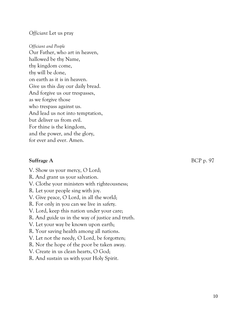#### *Officiant* Let us pray

*Officiant and People* Our Father, who art in heaven, hallowed be thy Name, thy kingdom come, thy will be done, on earth as it is in heaven. Give us this day our daily bread. And forgive us our trespasses, as we forgive those who trespass against us. And lead us not into temptation, but deliver us from evil. For thine is the kingdom, and the power, and the glory, for ever and ever. Amen.

V. Show us your mercy, O Lord;

R. And grant us your salvation.

V. Clothe your ministers with righteousness;

R. Let your people sing with joy.

V. Give peace, O Lord, in all the world;

R. For only in you can we live in safety.

V. Lord, keep this nation under your care;

R. And guide us in the way of justice and truth.

V. Let your way be known upon earth;

R. Your saving health among all nations.

V. Let not the needy, O Lord, be forgotten;

R. Nor the hope of the poor be taken away.

V. Create in us clean hearts, O God;

R. And sustain us with your Holy Spirit.

**Suffrage A** BCP p. 97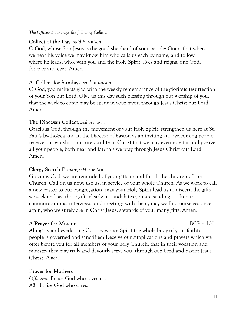*The Officiant then says the following Collects*

### **Collect of the Day***, said in unison*

O God, whose Son Jesus is the good shepherd of your people: Grant that when we hear his voice we may know him who calls us each by name, and follow where he leads; who, with you and the Holy Spirit, lives and reigns, one God, for ever and ever. Amen.

### **A Collect for Sundays***, said in unison*

O God, you make us glad with the weekly remembrance of the glorious resurrection of your Son our Lord: Give us this day such blessing through our worship of you, that the week to come may be spent in your favor; through Jesus Christ our Lord. Amen.

#### **The Diocesan Collect***, said in unison*

Gracious God, through the movement of your Holy Spirit, strengthen us here at St. Paul's by-the-Sea and in the Diocese of Easton as an inviting and welcoming people; receive our worship, nurture our life in Christ that we may evermore faithfully serve all your people, both near and far; this we pray through Jesus Christ our Lord. Amen.

#### **Clergy Search Prayer***, said in unison*

Gracious God, we are reminded of your gifts in and for all the children of the Church. Call on us now; use us, in service of your whole Church. As we work to call a new pastor to our congregation, may your Holy Spirit lead us to discern the gifts we seek and see those gifts clearly in candidates you are sending us. In our communications, interviews, and meetings with them, may we find ourselves once again, who we surely are in Christ Jesus, stewards of your many gifts. Amen.

### **A Prayer for Mission** BCP p.100

Almighty and everlasting God, by whose Spirit the whole body of your faithful people is governed and sanctified: Receive our supplications and prayers which we offer before you for all members of your holy Church, that in their vocation and ministry they may truly and devoutly serve you; through our Lord and Savior Jesus Christ. *Amen.*

### **Prayer for Mothers**

*Officiant* Praise God who loves us. *All* Praise God who cares.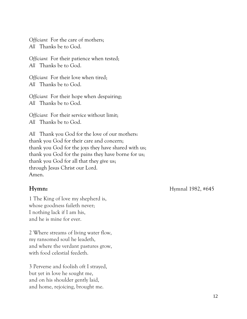*Officiant* For the care of mothers; *All* Thanks be to God.

*Officiant* For their patience when tested; *All* Thanks be to God.

*Officiant* For their love when tired; *All* Thanks be to God.

*Officiant* For their hope when despairing; *All* Thanks be to God.

*Officiant* For their service without limit; *All* Thanks be to God.

*All* Thank you God for the love of our mothers: thank you God for their care and concern; thank you God for the joys they have shared with us; thank you God for the pains they have borne for us; thank you God for all that they give us; through Jesus Christ our Lord. Amen.

1 The King of love my shepherd is, whose goodness faileth never; I nothing lack if I am his, and he is mine for ever.

2 Where streams of living water flow, my ransomed soul he leadeth, and where the verdant pastures grow, with food celestial feedeth.

3 Perverse and foolish oft I strayed, but yet in love he sought me, and on his shoulder gently laid, and home, rejoicing, brought me.

**Hymn: Hymnal** 1982, #645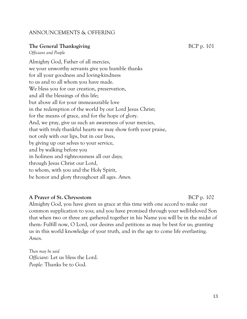#### ANNOUNCEMENTS & OFFERING

#### **The General Thanksgiving** BCP p. 101

*Officiant and People*

Almighty God, Father of all mercies, we your unworthy servants give you humble thanks for all your goodness and loving-kindness to us and to all whom you have made. We bless you for our creation, preservation, and all the blessings of this life; but above all for your immeasurable love in the redemption of the world by our Lord Jesus Christ; for the means of grace, and for the hope of glory. And, we pray, give us such an awareness of your mercies, that with truly thankful hearts we may show forth your praise, not only with our lips, but in our lives, by giving up our selves to your service, and by walking before you in holiness and righteousness all our days; through Jesus Christ our Lord, to whom, with you and the Holy Spirit, be honor and glory throughout all ages. *Amen.*

#### **A Prayer of St. Chrysostom** BCP p. 102

Almighty God, you have given us grace at this time with one accord to make our common supplication to you; and you have promised through your well-beloved Son that when two or three are gathered together in his Name you will be in the midst of them: Fulfill now, O Lord, our desires and petitions as may be best for us; granting us in this world knowledge of your truth, and in the age to come life everlasting. *Amen.*

*Then may be said Officiant:* Let us bless the Lord. *People:* Thanks be to God.